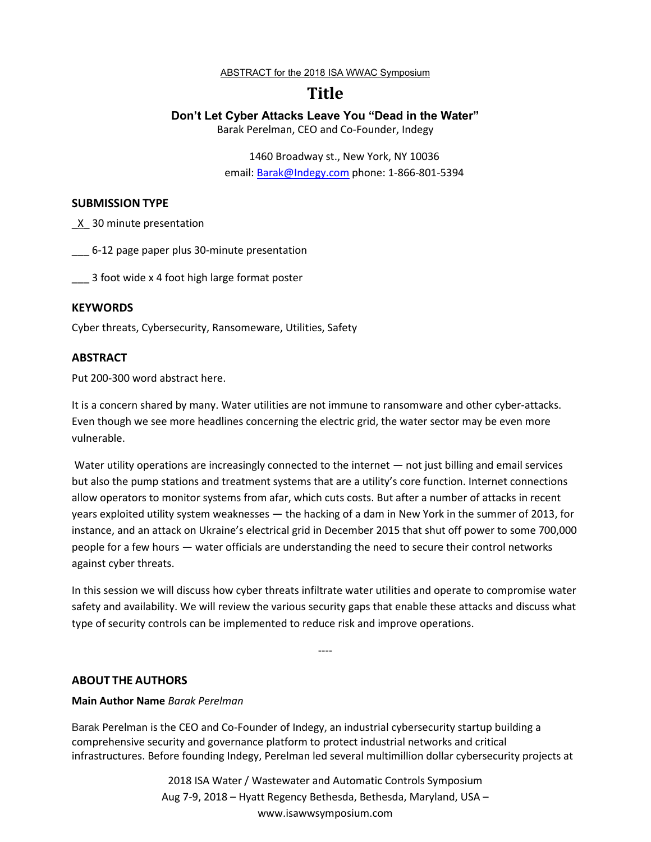ABSTRACT for the 2018 ISA WWAC Symposium

# **Title**

## **Don't Let Cyber Attacks Leave You "Dead in the Water"**

Barak Perelman, CEO and Co-Founder, Indegy

1460 Broadway st., New York, NY 10036 email: Barak@Indegy.com phone: 1-866-801-5394

#### **SUBMISSION TYPE**

\_X\_ 30 minute presentation

\_\_ 6-12 page paper plus 30-minute presentation

\_\_\_ 3 foot wide x 4 foot high large format poster

## **KEYWORDS**

Cyber threats, Cybersecurity, Ransomeware, Utilities, Safety

## **ABSTRACT**

Put 200-300 word abstract here.

It is a concern shared by many. Water utilities are not immune to ransomware and other cyber-attacks. Even though we see more headlines concerning the electric grid, the water sector may be even more vulnerable.

Water utility operations are increasingly connected to the internet — not just billing and email services but also the pump stations and treatment systems that are a utility's core function. Internet connections allow operators to monitor systems from afar, which cuts costs. But after a number of attacks in recent years exploited utility system weaknesses — the hacking of a dam in New York in the summer of 2013, for instance, and an attack on Ukraine's electrical grid in December 2015 that shut off power to some 700,000 people for a few hours — water officials are understanding the need to secure their control networks against cyber threats.

In this session we will discuss how cyber threats infiltrate water utilities and operate to compromise water safety and availability. We will review the various security gaps that enable these attacks and discuss what type of security controls can be implemented to reduce risk and improve operations.

----

## **ABOUT THE AUTHORS**

#### **Main Author Name** *Barak Perelman*

Barak Perelman is the CEO and Co-Founder of Indegy, an industrial cybersecurity startup building a comprehensive security and governance platform to protect industrial networks and critical infrastructures. Before founding Indegy, Perelman led several multimillion dollar cybersecurity projects at

> 2018 ISA Water / Wastewater and Automatic Controls Symposium Aug 7-9, 2018 – Hyatt Regency Bethesda, Bethesda, Maryland, USA – www.isawwsymposium.com